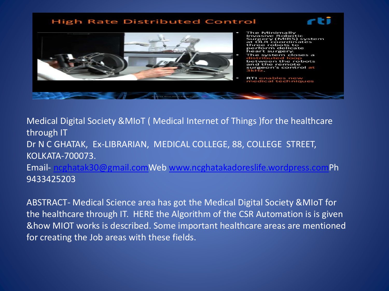#### **High Rate Distributed Control**





- The Minimally **Invasive Robotic** Surger y (MIRS) system coordinates robots to orm delicate surgery. stem closes a
- ween the robots and the remote urgeon's control at
- **RTI** enables new<br>medical techniques

Medical Digital Society &MIoT ( Medical Internet of Things )for the healthcare through IT Dr N C GHATAK, Ex-LIBRARIAN, MEDICAL COLLEGE, 88, COLLEGE STREET, KOLKATA-700073. Email- [ncghatak30@gmail.comW](mailto:ncghatak30@gmail.com)eb [www.ncghatakadoreslife.wordpress.comP](http://www.ncghatakadoreslife.wordpress.com/)h 9433425203

ABSTRACT- Medical Science area has got the Medical Digital Society &MIoT for the healthcare through IT. HERE the Algorithm of the CSR Automation is is given &how MIOT works is described. Some important healthcare areas are mentioned for creating the Job areas with these fields.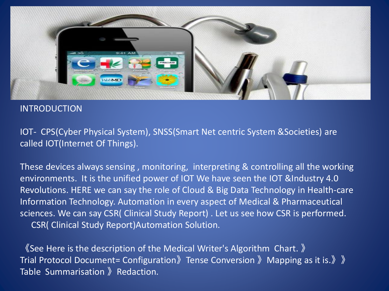

#### INTRODUCTION

IOT- CPS(Cyber Physical System), SNSS(Smart Net centric System &Societies) are called IOT(Internet Of Things).

These devices always sensing , monitoring, interpreting & controlling all the working environments. It is the unified power of IOT We have seen the IOT &Industry 4.0 Revolutions. HERE we can say the role of Cloud & Big Data Technology in Health-care Information Technology. Automation in every aspect of Medical & Pharmaceutical sciences. We can say CSR( Clinical Study Report) . Let us see how CSR is performed. CSR( Clinical Study Report)Automation Solution.

《See Here is the description of the Medical Writer's Algorithm Chart. 》 Trial Protocol Document= Configuration》Tense Conversion 》Mapping as it is.》》 Table Summarisation 》Redaction.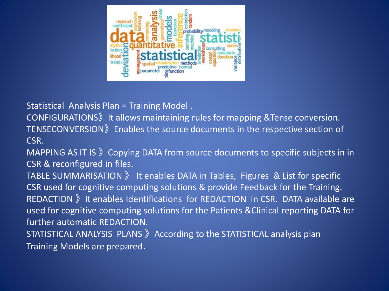

Statistical Analysis Plan = Training Model .

CONFIGURATIONS》It allows maintaining rules for mapping &Tense conversion. TENSECONVERSION》Enables the source documents in the respective section of CSR.

MAPPING AS IT IS 》Copying DATA from source documents to specific subjects in in CSR & reconfigured in files.

TABLE SUMMARISATION 》 It enables DATA in Tables, Figures & List for specific CSR used for cognitive computing solutions & provide Feedback for the Training. REDACTION 》It enables Identifications for REDACTION in CSR. DATA available are used for cognitive computing solutions for the Patients &Clinical reporting DATA for further automatic REDACTION.

STATISTICAL ANALYSIS PLANS 》According to the STATISTICAL analysis plan Training Models are prepared.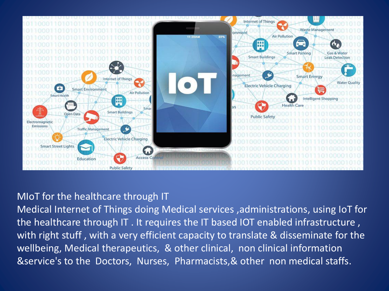

### MIoT for the healthcare through IT

Medical Internet of Things doing Medical services ,administrations, using IoT for the healthcare through IT . It requires the IT based IOT enabled infrastructure , with right stuff , with a very efficient capacity to translate & disseminate for the wellbeing, Medical therapeutics, & other clinical, non clinical information &service's to the Doctors, Nurses, Pharmacists,& other non medical staffs.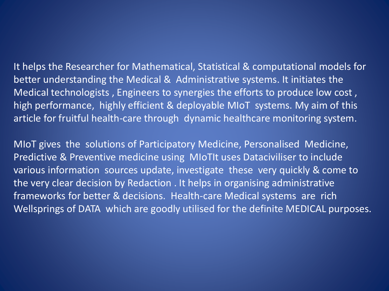It helps the Researcher for Mathematical, Statistical & computational models for better understanding the Medical & Administrative systems. It initiates the Medical technologists , Engineers to synergies the efforts to produce low cost , high performance, highly efficient & deployable MIoT systems. My aim of this article for fruitful health-care through dynamic healthcare monitoring system.

MIoT gives the solutions of Participatory Medicine, Personalised Medicine, Predictive & Preventive medicine using MIoTIt uses Dataciviliser to include various information sources update, investigate these very quickly & come to the very clear decision by Redaction . It helps in organising administrative frameworks for better & decisions. Health-care Medical systems are rich Wellsprings of DATA which are goodly utilised for the definite MEDICAL purposes.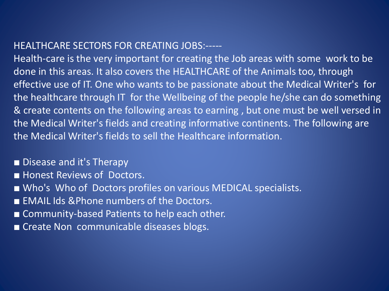## HEALTHCARE SECTORS FOR CREATING JOBS:-----

Health-care is the very important for creating the Job areas with some work to be done in this areas. It also covers the HEALTHCARE of the Animals too, through effective use of IT. One who wants to be passionate about the Medical Writer's for the healthcare through IT for the Wellbeing of the people he/she can do something & create contents on the following areas to earning , but one must be well versed in the Medical Writer's fields and creating informative continents. The following are the Medical Writer's fields to sell the Healthcare information.

### ■ Disease and it's Therapy

- Honest Reviews of Doctors.
- Who's Who of Doctors profiles on various MEDICAL specialists.
- EMAIL Ids & Phone numbers of the Doctors.
- Community-based Patients to help each other.
- Create Non communicable diseases blogs.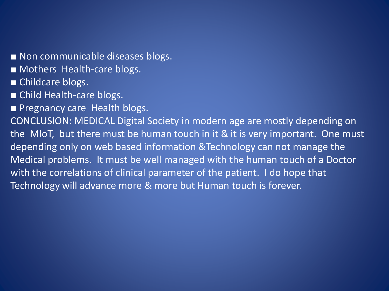■ Non communicable diseases blogs.

■ Mothers Health-care blogs.

■ Childcare blogs.

■ Child Health-care blogs.

■ Pregnancy care Health blogs.

CONCLUSION: MEDICAL Digital Society in modern age are mostly depending on the MIoT, but there must be human touch in it & it is very important. One must depending only on web based information &Technology can not manage the Medical problems. It must be well managed with the human touch of a Doctor with the correlations of clinical parameter of the patient. I do hope that Technology will advance more & more but Human touch is forever.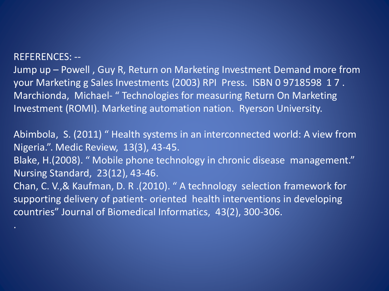#### REFERENCES: --

Jump up – Powell , Guy R, Return on Marketing Investment Demand more from your Marketing g Sales Investments (2003) RPI Press. ISBN 0 9718598 1 7 . Marchionda, Michael- " Technologies for measuring Return On Marketing Investment (ROMI). Marketing automation nation. Ryerson University.

Abimbola, S. (2011) " Health systems in an interconnected world: A view from Nigeria.". Medic Review, 13(3), 43-45.

Blake, H.(2008). " Mobile phone technology in chronic disease management." Nursing Standard, 23(12), 43-46.

Chan, C. V.,& Kaufman, D. R .(2010). " A technology selection framework for supporting delivery of patient- oriented health interventions in developing countries" Journal of Biomedical Informatics, 43(2), 300-306.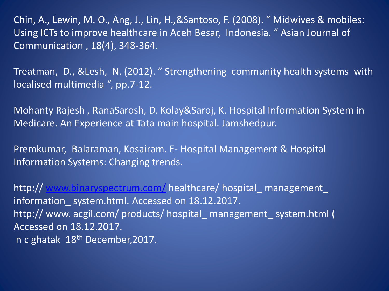Chin, A., Lewin, M. O., Ang, J., Lin, H.,&Santoso, F. (2008). " Midwives & mobiles: Using ICTs to improve healthcare in Aceh Besar, Indonesia. " Asian Journal of Communication , 18(4), 348-364.

Treatman, D., &Lesh, N. (2012). " Strengthening community health systems with localised multimedia ", pp.7-12.

Mohanty Rajesh , RanaSarosh, D. Kolay&Saroj, K. Hospital Information System in Medicare. An Experience at Tata main hospital. Jamshedpur.

Premkumar, Balaraman, Kosairam. E- Hospital Management & Hospital Information Systems: Changing trends.

http:// [www.binaryspectrum.com/](http://www.binaryspectrum.com/) healthcare/ hospital\_ management\_ information system.html. Accessed on 18.12.2017. http:// www. acgil.com/ products/ hospital\_ management\_ system.html ( Accessed on 18.12.2017. n c ghatak 18th December,2017.